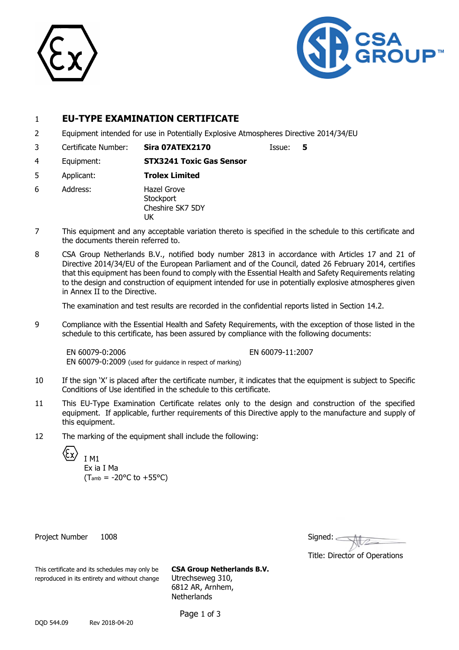



## 1 **EU-TYPE EXAMINATION CERTIFICATE**

2 Equipment intended for use in Potentially Explosive Atmospheres Directive 2014/34/EU

3 Certificate Number: **Sira 07ATEX2170** Issue: **5**

- 4 Equipment: **STX3241 Toxic Gas Sensor**
- 5 Applicant: **Trolex Limited**
- 6 Address: Hazel Grove **Stockport** Cheshire SK7 5DY **IK**
- 7 This equipment and any acceptable variation thereto is specified in the schedule to this certificate and the documents therein referred to.
- 8 CSA Group Netherlands B.V., notified body number 2813 in accordance with Articles 17 and 21 of Directive 2014/34/EU of the European Parliament and of the Council, dated 26 February 2014, certifies that this equipment has been found to comply with the Essential Health and Safety Requirements relating to the design and construction of equipment intended for use in potentially explosive atmospheres given in Annex II to the Directive.

The examination and test results are recorded in the confidential reports listed in Section 14.2.

9 Compliance with the Essential Health and Safety Requirements, with the exception of those listed in the schedule to this certificate, has been assured by compliance with the following documents:

EN 60079-0:2006 EN 60079-11:2007 EN 60079-0:2009 (used for guidance in respect of marking)

- 10 If the sign 'X' is placed after the certificate number, it indicates that the equipment is subject to Specific Conditions of Use identified in the schedule to this certificate.
- 11 This EU-Type Examination Certificate relates only to the design and construction of the specified equipment. If applicable, further requirements of this Directive apply to the manufacture and supply of this equipment.
- 12 The marking of the equipment shall include the following:

I M1

Ex ia I Ma  $(T_{amb} = -20$ °C to  $+55$ °C)

Project Number 1008

| Signed: |  |  |
|---------|--|--|
|         |  |  |

Title: Director of Operations

This certificate and its schedules may only be **CSA Group Netherlands B.V.** reproduced in its entirety and without change Utrechseweg 310,

6812 AR, Arnhem, **Netherlands** 

Page 1 of 3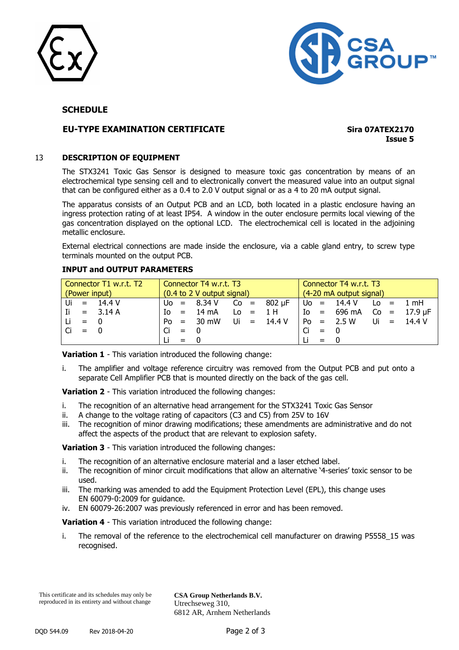



#### **SCHEDULE**

## **EU-TYPE EXAMINATION CERTIFICATE Sira 07ATEX2170**

**Issue 5**

#### 13 **DESCRIPTION OF EQUIPMENT**

The STX3241 Toxic Gas Sensor is designed to measure toxic gas concentration by means of an electrochemical type sensing cell and to electronically convert the measured value into an output signal that can be configured either as a 0.4 to 2.0 V output signal or as a 4 to 20 mA output signal.

The apparatus consists of an Output PCB and an LCD, both located in a plastic enclosure having an ingress protection rating of at least IP54. A window in the outer enclosure permits local viewing of the gas concentration displayed on the optional LCD. The electrochemical cell is located in the adjoining metallic enclosure.

External electrical connections are made inside the enclosure, via a cable gland entry, to screw type terminals mounted on the output PCB.

#### **INPUT and OUTPUT PARAMETERS**

| Connector T1 w.r.t. T2 | Connector T4 w.r.t. T3                             | Connector T4 w.r.t. T3             |
|------------------------|----------------------------------------------------|------------------------------------|
| (Power input)          | $\int (0.4 \text{ to } 2 \text{ V output signal})$ | $(4-20 \text{ mA output signal})$  |
| $ U_i  = 14.4 V$       | $ U_0 = 8.34 V$ Co = $802 \mu F$ Uo = 14.4 V       | $\text{Lo}$ = 1 mH                 |
| $=$ 3.14 A<br>l Ii     | $Io = 14mA$ $Lo = 1H$                              | $10 = 696 \text{ mA}$ Co = 17.9 µF |
| $= 0$<br>-Li           | Po = 30 mW Ui = 14.4 V   Po = 2.5 W Ui = 14.4 V    |                                    |
| $ Ci = 0$              | $ Ci = 0$                                          | $Ci = 0$                           |
|                        | $= 0$                                              | $=$ 0                              |

**Variation 1** - This variation introduced the following change:

i. The amplifier and voltage reference circuitry was removed from the Output PCB and put onto a separate Cell Amplifier PCB that is mounted directly on the back of the gas cell.

**Variation 2** - This variation introduced the following changes:

- i. The recognition of an alternative head arrangement for the STX3241 Toxic Gas Sensor
- ii. A change to the voltage rating of capacitors (C3 and C5) from 25V to 16V
- iii. The recognition of minor drawing modifications; these amendments are administrative and do not affect the aspects of the product that are relevant to explosion safety.

**Variation 3** - This variation introduced the following changes:

- i. The recognition of an alternative enclosure material and a laser etched label.
- ii. The recognition of minor circuit modifications that allow an alternative '4-series' toxic sensor to be used.
- iii. The marking was amended to add the Equipment Protection Level (EPL), this change uses EN 60079-0:2009 for guidance.
- iv. EN 60079-26:2007 was previously referenced in error and has been removed.

**Variation 4** - This variation introduced the following change:

i. The removal of the reference to the electrochemical cell manufacturer on drawing P5558\_15 was recognised.

**CSA Group Netherlands B.V.** Utrechseweg 310, 6812 AR, Arnhem Netherlands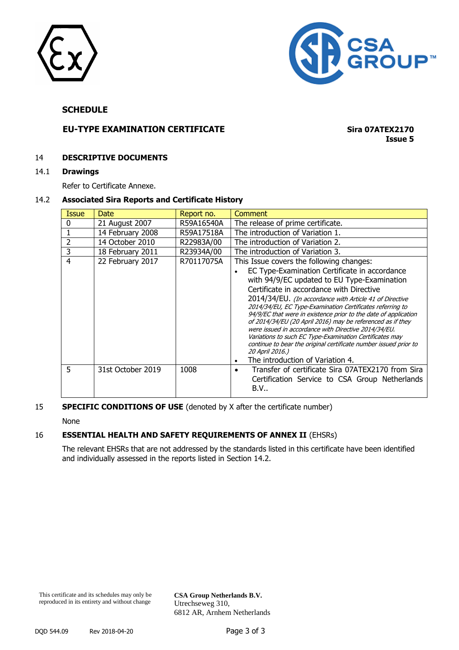



#### **SCHEDULE**

## **EU-TYPE EXAMINATION CERTIFICATE Sira 07ATEX2170**

**Issue 5**

#### 14 **DESCRIPTIVE DOCUMENTS**

#### 14.1 **Drawings**

Refer to Certificate Annexe.

#### 14.2 **Associated Sira Reports and Certificate History**

| <b>Issue</b>   | Date              | Report no. | Comment                                                                                                                                                                                                                                                                                                                                                                                                                                                                                                                                                                                                                                                                                     |
|----------------|-------------------|------------|---------------------------------------------------------------------------------------------------------------------------------------------------------------------------------------------------------------------------------------------------------------------------------------------------------------------------------------------------------------------------------------------------------------------------------------------------------------------------------------------------------------------------------------------------------------------------------------------------------------------------------------------------------------------------------------------|
| 0              | 21 August 2007    | R59A16540A | The release of prime certificate.                                                                                                                                                                                                                                                                                                                                                                                                                                                                                                                                                                                                                                                           |
|                | 14 February 2008  | R59A17518A | The introduction of Variation 1.                                                                                                                                                                                                                                                                                                                                                                                                                                                                                                                                                                                                                                                            |
| 2              | 14 October 2010   | R22983A/00 | The introduction of Variation 2.                                                                                                                                                                                                                                                                                                                                                                                                                                                                                                                                                                                                                                                            |
| 3              | 18 February 2011  | R23934A/00 | The introduction of Variation 3.                                                                                                                                                                                                                                                                                                                                                                                                                                                                                                                                                                                                                                                            |
| $\overline{4}$ | 22 February 2017  | R70117075A | This Issue covers the following changes:<br>EC Type-Examination Certificate in accordance<br>with 94/9/EC updated to EU Type-Examination<br>Certificate in accordance with Directive<br>2014/34/EU. (In accordance with Article 41 of Directive<br>2014/34/EU, EC Type-Examination Certificates referring to<br>94/9/EC that were in existence prior to the date of application<br>of 2014/34/EU (20 April 2016) may be referenced as if they<br>were issued in accordance with Directive 2014/34/EU.<br>Variations to such EC Type-Examination Certificates may<br>continue to bear the original certificate number issued prior to<br>20 April 2016.)<br>The introduction of Variation 4. |
| 5              | 31st October 2019 | 1008       | Transfer of certificate Sira 07ATEX2170 from Sira<br>٠<br>Certification Service to CSA Group Netherlands<br><b>B.V</b>                                                                                                                                                                                                                                                                                                                                                                                                                                                                                                                                                                      |

## **SPECIFIC CONDITIONS OF USE** (denoted by X after the certificate number)

None

#### 16 **ESSENTIAL HEALTH AND SAFETY REQUIREMENTS OF ANNEX II** (EHSRs)

The relevant EHSRs that are not addressed by the standards listed in this certificate have been identified and individually assessed in the reports listed in Section 14.2.

**CSA Group Netherlands B.V.** Utrechseweg 310, 6812 AR, Arnhem Netherlands